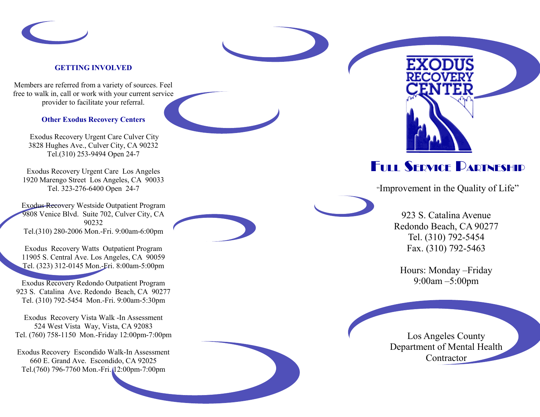

#### **GETTING INVOLVED**

Members are referred from a variety of sources. Feel free to walk in, call or work with your current service provider to facilitate your referral.

#### **Other Exodus Recovery Centers**

Exodus Recovery Urgent Care Culver City 3828 Hughes Ave., Culver City, CA 90232 Tel.(310) 253 -9494 Open 24 - 7

Exodus Recovery Urgent Care Los Angeles 1920 Marengo Street Los Angeles, CA 90033 Tel. 323-276-6400 Open 24-7

Exodus Recovery Westside Outpatient Program 9808 Venice Blvd. Suite 702, Culver City, CA 90232 Tel.(310) 280 -2006 Mon. -Fri. 9:00am -6:00pm

Exodus Recovery Watts Outpatient Program 11905 S. Central Ave. Los Angeles, CA 90059 Tel. (323) 312 -0145 Mon. -Fri. 8:00am -5:00pm

Exodus Recovery Redondo Outpatient Program 923 S. Catalina Ave. Redondo Beach, CA 90277 Tel. (310) 792 -5454 Mon. -Fri. 9:00am -5:30pm

Exodus Recovery Vista Walk -In Assessment 524 West Vista Way, Vista, CA 92083 Tel. (760) 758 -1150 Mon. -Friday 12:00pm -7:00pm

Exodus Recovery Escondido Walk -In Assessment 660 E. Grand Ave. Escondido, CA 92025 Tel.(760) 796 -7760 Mon. -Fri. 12:00pm -7:00pm



# FULL SERVICE PARTNESHIP

"Improvement in the Quality of Life"

923 S. Catalina Avenue Redondo Beach, CA 90277 Tel. (310) 792 -5454 Fax. (310) 792 -5463

Hours: Monday –Friday 9:00am –5:00pm

Los Angeles County Department of Mental Health **Contractor**